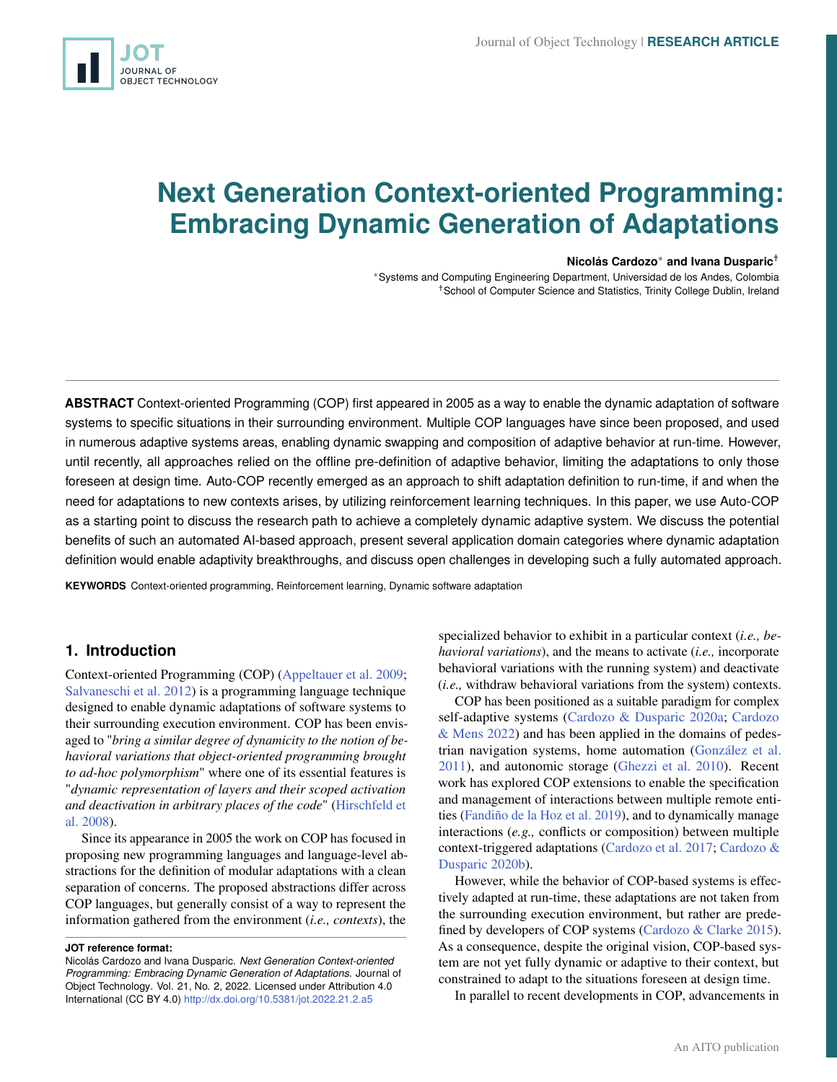# **Next Generation Context-oriented Programming: Embracing Dynamic Generation of Adaptations**

#### **Nicolás Cardozo**<sup>∗</sup> **and Ivana Dusparic**†

<sup>∗</sup>Systems and Computing Engineering Department, Universidad de los Andes, Colombia †School of Computer Science and Statistics, Trinity College Dublin, Ireland

**ABSTRACT** Context-oriented Programming (COP) first appeared in 2005 as a way to enable the dynamic adaptation of software systems to specific situations in their surrounding environment. Multiple COP languages have since been proposed, and used in numerous adaptive systems areas, enabling dynamic swapping and composition of adaptive behavior at run-time. However, until recently, all approaches relied on the offline pre-definition of adaptive behavior, limiting the adaptations to only those foreseen at design time. Auto-COP recently emerged as an approach to shift adaptation definition to run-time, if and when the need for adaptations to new contexts arises, by utilizing reinforcement learning techniques. In this paper, we use Auto-COP as a starting point to discuss the research path to achieve a completely dynamic adaptive system. We discuss the potential benefits of such an automated AI-based approach, present several application domain categories where dynamic adaptation definition would enable adaptivity breakthroughs, and discuss open challenges in developing such a fully automated approach.

**KEYWORDS** Context-oriented programming, Reinforcement learning, Dynamic software adaptation

# **1. Introduction**

Context-oriented Programming (COP) [\(Appeltauer et al.](#page-4-0) [2009;](#page-4-0) [Salvaneschi et al.](#page-5-0) [2012\)](#page-5-0) is a programming language technique designed to enable dynamic adaptations of software systems to their surrounding execution environment. COP has been envisaged to "*bring a similar degree of dynamicity to the notion of behavioral variations that object-oriented programming brought to ad-hoc polymorphism*" where one of its essential features is "*dynamic representation of layers and their scoped activation and deactivation in arbitrary places of the code*" [\(Hirschfeld et](#page-5-1) [al.](#page-5-1) [2008\)](#page-5-1).

Since its appearance in 2005 the work on COP has focused in proposing new programming languages and language-level abstractions for the definition of modular adaptations with a clean separation of concerns. The proposed abstractions differ across COP languages, but generally consist of a way to represent the information gathered from the environment (*i.e., contexts*), the

**JOT reference format:**

specialized behavior to exhibit in a particular context (*i.e., behavioral variations*), and the means to activate (*i.e.,* incorporate behavioral variations with the running system) and deactivate (*i.e.,* withdraw behavioral variations from the system) contexts.

COP has been positioned as a suitable paradigm for complex self-adaptive systems [\(Cardozo & Dusparic](#page-4-1) [2020a;](#page-4-1) [Cardozo](#page-4-2) [& Mens](#page-4-2) [2022\)](#page-4-2) and has been applied in the domains of pedestrian navigation systems, home automation [\(González et al.](#page-5-2) [2011\)](#page-5-2), and autonomic storage [\(Ghezzi et al.](#page-4-3) [2010\)](#page-4-3). Recent work has explored COP extensions to enable the specification and management of interactions between multiple remote entities [\(Fandiño de la Hoz et al.](#page-4-4) [2019\)](#page-4-4), and to dynamically manage interactions (*e.g.,* conflicts or composition) between multiple context-triggered adaptations [\(Cardozo et al.](#page-4-5) [2017;](#page-4-5) [Cardozo &](#page-4-6) [Dusparic](#page-4-6) [2020b\)](#page-4-6).

However, while the behavior of COP-based systems is effectively adapted at run-time, these adaptations are not taken from the surrounding execution environment, but rather are predefined by developers of COP systems [\(Cardozo & Clarke](#page-4-7) [2015\)](#page-4-7). As a consequence, despite the original vision, COP-based system are not yet fully dynamic or adaptive to their context, but constrained to adapt to the situations foreseen at design time.

In parallel to recent developments in COP, advancements in

Nicolás Cardozo and Ivana Dusparic. *Next Generation Context-oriented Programming: Embracing Dynamic Generation of Adaptations*. Journal of Object Technology. Vol. 21, No. 2, 2022. Licensed under Attribution 4.0 International (CC BY 4.0) <http://dx.doi.org/10.5381/jot.2022.21.2.a5>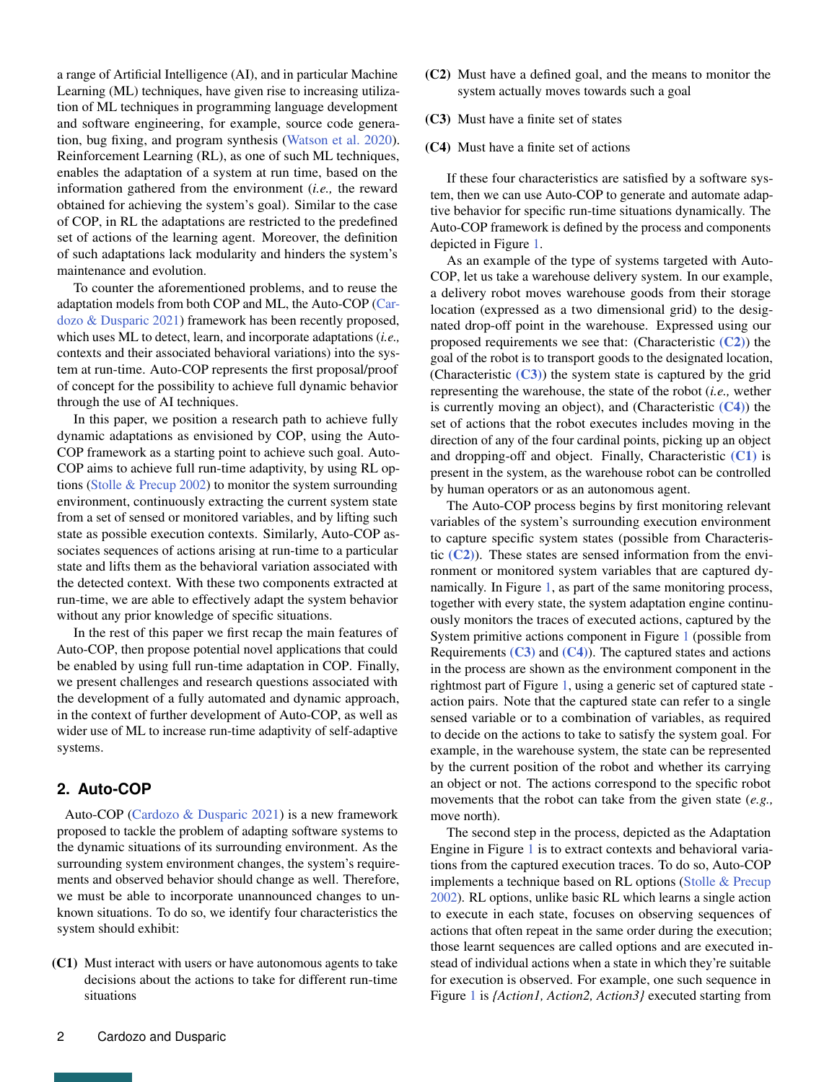a range of Artificial Intelligence (AI), and in particular Machine Learning (ML) techniques, have given rise to increasing utilization of ML techniques in programming language development and software engineering, for example, source code generation, bug fixing, and program synthesis [\(Watson et al.](#page-5-3) [2020\)](#page-5-3). Reinforcement Learning (RL), as one of such ML techniques, enables the adaptation of a system at run time, based on the information gathered from the environment (*i.e.,* the reward obtained for achieving the system's goal). Similar to the case of COP, in RL the adaptations are restricted to the predefined set of actions of the learning agent. Moreover, the definition of such adaptations lack modularity and hinders the system's maintenance and evolution.

To counter the aforementioned problems, and to reuse the adaptation models from both COP and ML, the Auto-COP [\(Car](#page-4-8)[dozo & Dusparic](#page-4-8) [2021\)](#page-4-8) framework has been recently proposed, which uses ML to detect, learn, and incorporate adaptations (*i.e.,* contexts and their associated behavioral variations) into the system at run-time. Auto-COP represents the first proposal/proof of concept for the possibility to achieve full dynamic behavior through the use of AI techniques.

In this paper, we position a research path to achieve fully dynamic adaptations as envisioned by COP, using the Auto-COP framework as a starting point to achieve such goal. Auto-COP aims to achieve full run-time adaptivity, by using RL options [\(Stolle & Precup](#page-5-4) [2002\)](#page-5-4) to monitor the system surrounding environment, continuously extracting the current system state from a set of sensed or monitored variables, and by lifting such state as possible execution contexts. Similarly, Auto-COP associates sequences of actions arising at run-time to a particular state and lifts them as the behavioral variation associated with the detected context. With these two components extracted at run-time, we are able to effectively adapt the system behavior without any prior knowledge of specific situations.

In the rest of this paper we first recap the main features of Auto-COP, then propose potential novel applications that could be enabled by using full run-time adaptation in COP. Finally, we present challenges and research questions associated with the development of a fully automated and dynamic approach, in the context of further development of Auto-COP, as well as wider use of ML to increase run-time adaptivity of self-adaptive systems.

# **2. Auto-COP**

Auto-COP [\(Cardozo & Dusparic](#page-4-8) [2021\)](#page-4-8) is a new framework proposed to tackle the problem of adapting software systems to the dynamic situations of its surrounding environment. As the surrounding system environment changes, the system's requirements and observed behavior should change as well. Therefore, we must be able to incorporate unannounced changes to unknown situations. To do so, we identify four characteristics the system should exhibit:

<span id="page-1-3"></span>(C1) Must interact with users or have autonomous agents to take decisions about the actions to take for different run-time situations

- <span id="page-1-0"></span>(C2) Must have a defined goal, and the means to monitor the system actually moves towards such a goal
- <span id="page-1-1"></span>(C3) Must have a finite set of states
- <span id="page-1-2"></span>(C4) Must have a finite set of actions

If these four characteristics are satisfied by a software system, then we can use Auto-COP to generate and automate adaptive behavior for specific run-time situations dynamically. The Auto-COP framework is defined by the process and components depicted in Figure [1.](#page-2-0)

As an example of the type of systems targeted with Auto-COP, let us take a warehouse delivery system. In our example, a delivery robot moves warehouse goods from their storage location (expressed as a two dimensional grid) to the designated drop-off point in the warehouse. Expressed using our proposed requirements we see that: (Characteristic  $(C2)$ ) the goal of the robot is to transport goods to the designated location, (Characteristic  $(C3)$ ) the system state is captured by the grid representing the warehouse, the state of the robot (*i.e.,* wether is currently moving an object), and (Characteristic [\(C4\)](#page-1-2)) the set of actions that the robot executes includes moving in the direction of any of the four cardinal points, picking up an object and dropping-off and object. Finally, Characteristic [\(C1\)](#page-1-3) is present in the system, as the warehouse robot can be controlled by human operators or as an autonomous agent.

The Auto-COP process begins by first monitoring relevant variables of the system's surrounding execution environment to capture specific system states (possible from Characteristic  $(C2)$ ). These states are sensed information from the environment or monitored system variables that are captured dynamically. In Figure [1,](#page-2-0) as part of the same monitoring process, together with every state, the system adaptation engine continuously monitors the traces of executed actions, captured by the System primitive actions component in Figure [1](#page-2-0) (possible from Requirements  $(C3)$  and  $(C4)$ ). The captured states and actions in the process are shown as the environment component in the rightmost part of Figure [1,](#page-2-0) using a generic set of captured state action pairs. Note that the captured state can refer to a single sensed variable or to a combination of variables, as required to decide on the actions to take to satisfy the system goal. For example, in the warehouse system, the state can be represented by the current position of the robot and whether its carrying an object or not. The actions correspond to the specific robot movements that the robot can take from the given state (*e.g.,* move north).

The second step in the process, depicted as the Adaptation Engine in Figure [1](#page-2-0) is to extract contexts and behavioral variations from the captured execution traces. To do so, Auto-COP implements a technique based on RL options [\(Stolle & Precup](#page-5-4) [2002\)](#page-5-4). RL options, unlike basic RL which learns a single action to execute in each state, focuses on observing sequences of actions that often repeat in the same order during the execution; those learnt sequences are called options and are executed instead of individual actions when a state in which they're suitable for execution is observed. For example, one such sequence in Figure [1](#page-2-0) is *{Action1, Action2, Action3}* executed starting from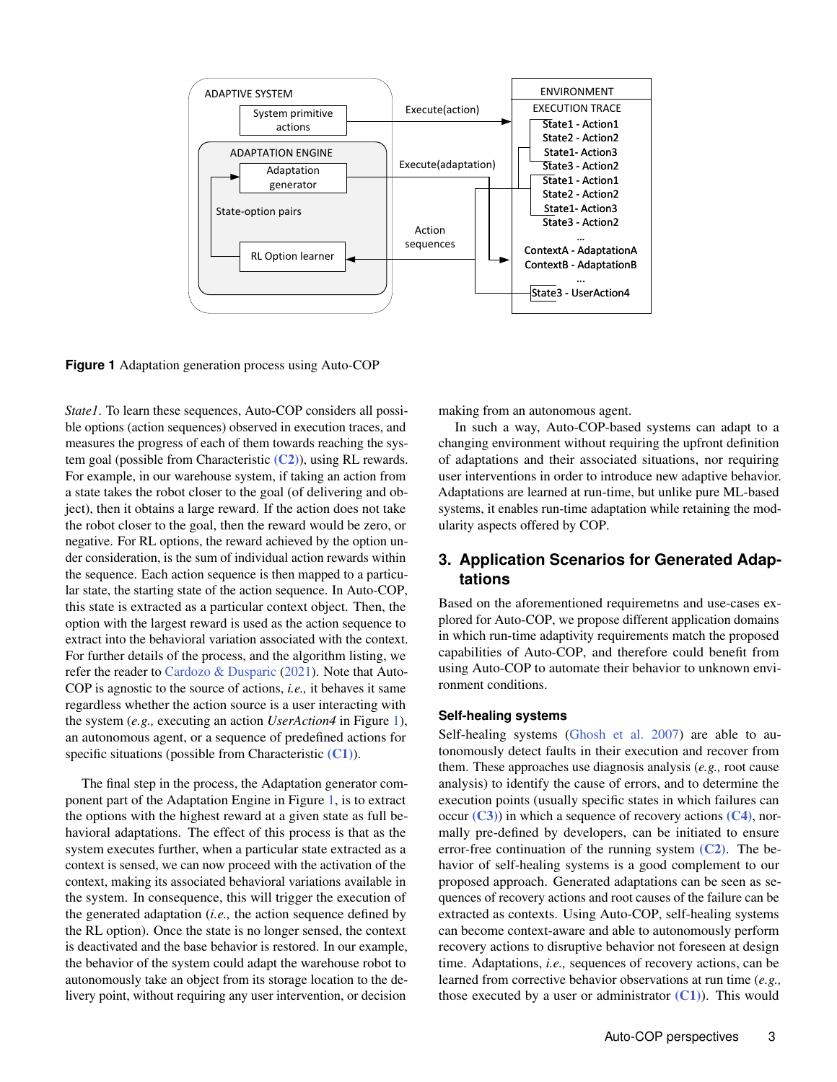<span id="page-2-0"></span>

**Figure 1** Adaptation generation process using Auto-COP

*State1*. To learn these sequences, Auto-COP considers all possible options (action sequences) observed in execution traces, and measures the progress of each of them towards reaching the system goal (possible from Characteristic  $(C2)$ ), using RL rewards. For example, in our warehouse system, if taking an action from a state takes the robot closer to the goal (of delivering and object), then it obtains a large reward. If the action does not take the robot closer to the goal, then the reward would be zero, or negative. For RL options, the reward achieved by the option under consideration, is the sum of individual action rewards within the sequence. Each action sequence is then mapped to a particular state, the starting state of the action sequence. In Auto-COP, this state is extracted as a particular context object. Then, the option with the largest reward is used as the action sequence to extract into the behavioral variation associated with the context. For further details of the process, and the algorithm listing, we refer the reader to [Cardozo & Dusparic](#page-4-8) [\(2021\)](#page-4-8). Note that Auto-COP is agnostic to the source of actions, *i.e.,* it behaves it same regardless whether the action source is a user interacting with the system (*e.g.,* executing an action *UserAction4* in Figure [1\)](#page-2-0), an autonomous agent, or a sequence of predefined actions for specific situations (possible from Characteristic  $(C1)$ ).

The final step in the process, the Adaptation generator component part of the Adaptation Engine in Figure [1,](#page-2-0) is to extract the options with the highest reward at a given state as full behavioral adaptations. The effect of this process is that as the system executes further, when a particular state extracted as a context is sensed, we can now proceed with the activation of the context, making its associated behavioral variations available in the system. In consequence, this will trigger the execution of the generated adaptation (*i.e.,* the action sequence defined by the RL option). Once the state is no longer sensed, the context is deactivated and the base behavior is restored. In our example, the behavior of the system could adapt the warehouse robot to autonomously take an object from its storage location to the delivery point, without requiring any user intervention, or decision

making from an autonomous agent.

In such a way, Auto-COP-based systems can adapt to a changing environment without requiring the upfront definition of adaptations and their associated situations, nor requiring user interventions in order to introduce new adaptive behavior. Adaptations are learned at run-time, but unlike pure ML-based systems, it enables run-time adaptation while retaining the modularity aspects offered by COP.

# **3. Application Scenarios for Generated Adaptations**

Based on the aforementioned requiremetns and use-cases explored for Auto-COP, we propose different application domains in which run-time adaptivity requirements match the proposed capabilities of Auto-COP, and therefore could benefit from using Auto-COP to automate their behavior to unknown environment conditions.

### **Self-healing systems**

Self-healing systems [\(Ghosh et al.](#page-5-5) [2007\)](#page-5-5) are able to autonomously detect faults in their execution and recover from them. These approaches use diagnosis analysis (*e.g.,* root cause analysis) to identify the cause of errors, and to determine the execution points (usually specific states in which failures can occur  $(C3)$ ) in which a sequence of recovery actions  $(C4)$ , normally pre-defined by developers, can be initiated to ensure error-free continuation of the running system  $(C2)$ . The behavior of self-healing systems is a good complement to our proposed approach. Generated adaptations can be seen as sequences of recovery actions and root causes of the failure can be extracted as contexts. Using Auto-COP, self-healing systems can become context-aware and able to autonomously perform recovery actions to disruptive behavior not foreseen at design time. Adaptations, *i.e.,* sequences of recovery actions, can be learned from corrective behavior observations at run time (*e.g.,* those executed by a user or administrator  $(C1)$ ). This would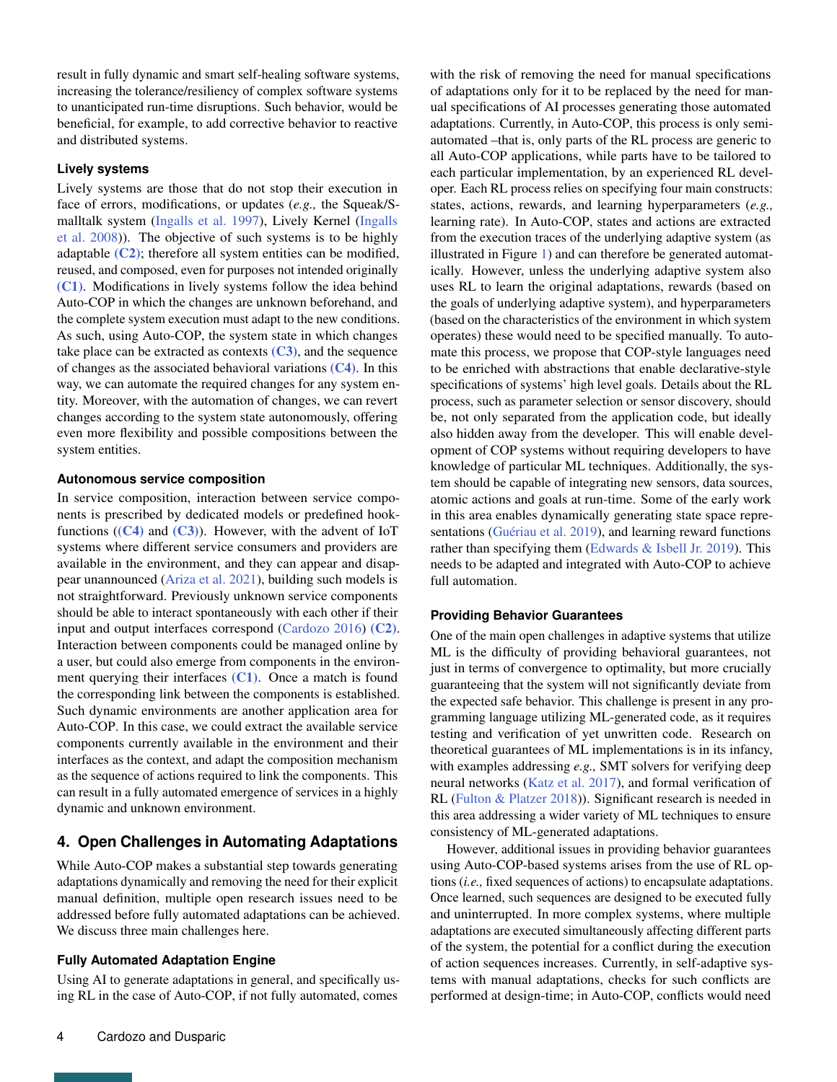result in fully dynamic and smart self-healing software systems, increasing the tolerance/resiliency of complex software systems to unanticipated run-time disruptions. Such behavior, would be beneficial, for example, to add corrective behavior to reactive and distributed systems.

### **Lively systems**

Lively systems are those that do not stop their execution in face of errors, modifications, or updates (*e.g.,* the Squeak/Smalltalk system [\(Ingalls et al.](#page-5-6) [1997\)](#page-5-6), Lively Kernel [\(Ingalls](#page-5-7) [et al.](#page-5-7) [2008\)](#page-5-7)). The objective of such systems is to be highly adaptable  $(C2)$ ; therefore all system entities can be modified, reused, and composed, even for purposes not intended originally [\(C1\)](#page-1-3). Modifications in lively systems follow the idea behind Auto-COP in which the changes are unknown beforehand, and the complete system execution must adapt to the new conditions. As such, using Auto-COP, the system state in which changes take place can be extracted as contexts  $(C3)$ , and the sequence of changes as the associated behavioral variations [\(C4\)](#page-1-2). In this way, we can automate the required changes for any system entity. Moreover, with the automation of changes, we can revert changes according to the system state autonomously, offering even more flexibility and possible compositions between the system entities.

### **Autonomous service composition**

In service composition, interaction between service components is prescribed by dedicated models or predefined hookfunctions  $((C4)$  $((C4)$  and  $(C3)$ ). However, with the advent of IoT systems where different service consumers and providers are available in the environment, and they can appear and disappear unannounced [\(Ariza et al.](#page-4-9) [2021\)](#page-4-9), building such models is not straightforward. Previously unknown service components should be able to interact spontaneously with each other if their input and output interfaces correspond [\(Cardozo](#page-4-10) [2016\)](#page-4-10) [\(C2\)](#page-1-0). Interaction between components could be managed online by a user, but could also emerge from components in the environment querying their interfaces  $(C1)$ . Once a match is found the corresponding link between the components is established. Such dynamic environments are another application area for Auto-COP. In this case, we could extract the available service components currently available in the environment and their interfaces as the context, and adapt the composition mechanism as the sequence of actions required to link the components. This can result in a fully automated emergence of services in a highly dynamic and unknown environment.

# **4. Open Challenges in Automating Adaptations**

While Auto-COP makes a substantial step towards generating adaptations dynamically and removing the need for their explicit manual definition, multiple open research issues need to be addressed before fully automated adaptations can be achieved. We discuss three main challenges here.

## **Fully Automated Adaptation Engine**

Using AI to generate adaptations in general, and specifically using RL in the case of Auto-COP, if not fully automated, comes

with the risk of removing the need for manual specifications of adaptations only for it to be replaced by the need for manual specifications of AI processes generating those automated adaptations. Currently, in Auto-COP, this process is only semiautomated –that is, only parts of the RL process are generic to all Auto-COP applications, while parts have to be tailored to each particular implementation, by an experienced RL developer. Each RL process relies on specifying four main constructs: states, actions, rewards, and learning hyperparameters (*e.g.,* learning rate). In Auto-COP, states and actions are extracted from the execution traces of the underlying adaptive system (as illustrated in Figure [1\)](#page-2-0) and can therefore be generated automatically. However, unless the underlying adaptive system also uses RL to learn the original adaptations, rewards (based on the goals of underlying adaptive system), and hyperparameters (based on the characteristics of the environment in which system operates) these would need to be specified manually. To automate this process, we propose that COP-style languages need to be enriched with abstractions that enable declarative-style specifications of systems' high level goals. Details about the RL process, such as parameter selection or sensor discovery, should be, not only separated from the application code, but ideally also hidden away from the developer. This will enable development of COP systems without requiring developers to have knowledge of particular ML techniques. Additionally, the system should be capable of integrating new sensors, data sources, atomic actions and goals at run-time. Some of the early work in this area enables dynamically generating state space repre-sentations [\(Guériau et al.](#page-5-8) [2019\)](#page-5-8), and learning reward functions rather than specifying them [\(Edwards & Isbell Jr.](#page-4-11) [2019\)](#page-4-11). This needs to be adapted and integrated with Auto-COP to achieve full automation.

## **Providing Behavior Guarantees**

One of the main open challenges in adaptive systems that utilize ML is the difficulty of providing behavioral guarantees, not just in terms of convergence to optimality, but more crucially guaranteeing that the system will not significantly deviate from the expected safe behavior. This challenge is present in any programming language utilizing ML-generated code, as it requires testing and verification of yet unwritten code. Research on theoretical guarantees of ML implementations is in its infancy, with examples addressing *e.g.,* SMT solvers for verifying deep neural networks [\(Katz et al.](#page-5-9) [2017\)](#page-5-9), and formal verification of RL [\(Fulton & Platzer](#page-4-12) [2018\)](#page-4-12)). Significant research is needed in this area addressing a wider variety of ML techniques to ensure consistency of ML-generated adaptations.

However, additional issues in providing behavior guarantees using Auto-COP-based systems arises from the use of RL options (*i.e.,* fixed sequences of actions) to encapsulate adaptations. Once learned, such sequences are designed to be executed fully and uninterrupted. In more complex systems, where multiple adaptations are executed simultaneously affecting different parts of the system, the potential for a conflict during the execution of action sequences increases. Currently, in self-adaptive systems with manual adaptations, checks for such conflicts are performed at design-time; in Auto-COP, conflicts would need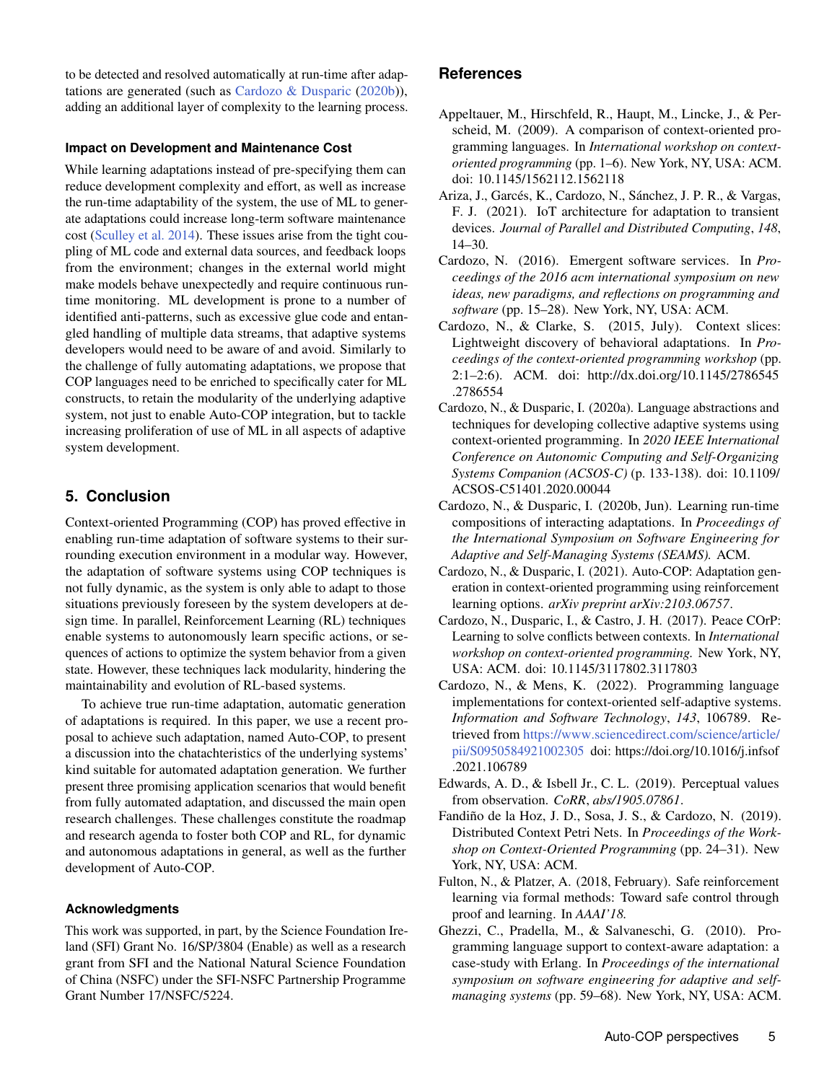to be detected and resolved automatically at run-time after adaptations are generated (such as [Cardozo & Dusparic](#page-4-6) [\(2020b\)](#page-4-6)), adding an additional layer of complexity to the learning process.

### **Impact on Development and Maintenance Cost**

While learning adaptations instead of pre-specifying them can reduce development complexity and effort, as well as increase the run-time adaptability of the system, the use of ML to generate adaptations could increase long-term software maintenance cost [\(Sculley et al.](#page-5-10) [2014\)](#page-5-10). These issues arise from the tight coupling of ML code and external data sources, and feedback loops from the environment; changes in the external world might make models behave unexpectedly and require continuous runtime monitoring. ML development is prone to a number of identified anti-patterns, such as excessive glue code and entangled handling of multiple data streams, that adaptive systems developers would need to be aware of and avoid. Similarly to the challenge of fully automating adaptations, we propose that COP languages need to be enriched to specifically cater for ML constructs, to retain the modularity of the underlying adaptive system, not just to enable Auto-COP integration, but to tackle increasing proliferation of use of ML in all aspects of adaptive system development.

# **5. Conclusion**

Context-oriented Programming (COP) has proved effective in enabling run-time adaptation of software systems to their surrounding execution environment in a modular way. However, the adaptation of software systems using COP techniques is not fully dynamic, as the system is only able to adapt to those situations previously foreseen by the system developers at design time. In parallel, Reinforcement Learning (RL) techniques enable systems to autonomously learn specific actions, or sequences of actions to optimize the system behavior from a given state. However, these techniques lack modularity, hindering the maintainability and evolution of RL-based systems.

To achieve true run-time adaptation, automatic generation of adaptations is required. In this paper, we use a recent proposal to achieve such adaptation, named Auto-COP, to present a discussion into the chatachteristics of the underlying systems' kind suitable for automated adaptation generation. We further present three promising application scenarios that would benefit from fully automated adaptation, and discussed the main open research challenges. These challenges constitute the roadmap and research agenda to foster both COP and RL, for dynamic and autonomous adaptations in general, as well as the further development of Auto-COP.

### **Acknowledgments**

This work was supported, in part, by the Science Foundation Ireland (SFI) Grant No. 16/SP/3804 (Enable) as well as a research grant from SFI and the National Natural Science Foundation of China (NSFC) under the SFI-NSFC Partnership Programme Grant Number 17/NSFC/5224.

# **References**

- <span id="page-4-0"></span>Appeltauer, M., Hirschfeld, R., Haupt, M., Lincke, J., & Perscheid, M. (2009). A comparison of context-oriented programming languages. In *International workshop on contextoriented programming* (pp. 1–6). New York, NY, USA: ACM. doi: 10.1145/1562112.1562118
- <span id="page-4-9"></span>Ariza, J., Garcés, K., Cardozo, N., Sánchez, J. P. R., & Vargas, F. J. (2021). IoT architecture for adaptation to transient devices. *Journal of Parallel and Distributed Computing*, *148*, 14–30.
- <span id="page-4-10"></span>Cardozo, N. (2016). Emergent software services. In *Proceedings of the 2016 acm international symposium on new ideas, new paradigms, and reflections on programming and software* (pp. 15–28). New York, NY, USA: ACM.
- <span id="page-4-7"></span>Cardozo, N., & Clarke, S. (2015, July). Context slices: Lightweight discovery of behavioral adaptations. In *Proceedings of the context-oriented programming workshop* (pp. 2:1–2:6). ACM. doi: http://dx.doi.org/10.1145/2786545 .2786554
- <span id="page-4-1"></span>Cardozo, N., & Dusparic, I. (2020a). Language abstractions and techniques for developing collective adaptive systems using context-oriented programming. In *2020 IEEE International Conference on Autonomic Computing and Self-Organizing Systems Companion (ACSOS-C)* (p. 133-138). doi: 10.1109/ ACSOS-C51401.2020.00044
- <span id="page-4-6"></span>Cardozo, N., & Dusparic, I. (2020b, Jun). Learning run-time compositions of interacting adaptations. In *Proceedings of the International Symposium on Software Engineering for Adaptive and Self-Managing Systems (SEAMS).* ACM.
- <span id="page-4-8"></span>Cardozo, N., & Dusparic, I. (2021). Auto-COP: Adaptation generation in context-oriented programming using reinforcement learning options. *arXiv preprint arXiv:2103.06757*.
- <span id="page-4-5"></span>Cardozo, N., Dusparic, I., & Castro, J. H. (2017). Peace COrP: Learning to solve conflicts between contexts. In *International workshop on context-oriented programming.* New York, NY, USA: ACM. doi: 10.1145/3117802.3117803
- <span id="page-4-2"></span>Cardozo, N., & Mens, K. (2022). Programming language implementations for context-oriented self-adaptive systems. *Information and Software Technology*, *143*, 106789. Retrieved from [https://www.sciencedirect.com/science/article/](https://www.sciencedirect.com/science/article/pii/S0950584921002305) [pii/S0950584921002305](https://www.sciencedirect.com/science/article/pii/S0950584921002305) doi: https://doi.org/10.1016/j.infsof .2021.106789
- <span id="page-4-11"></span>Edwards, A. D., & Isbell Jr., C. L. (2019). Perceptual values from observation. *CoRR*, *abs/1905.07861*.
- <span id="page-4-4"></span>Fandiño de la Hoz, J. D., Sosa, J. S., & Cardozo, N. (2019). Distributed Context Petri Nets. In *Proceedings of the Workshop on Context-Oriented Programming* (pp. 24–31). New York, NY, USA: ACM.
- <span id="page-4-12"></span>Fulton, N., & Platzer, A. (2018, February). Safe reinforcement learning via formal methods: Toward safe control through proof and learning. In *AAAI'18.*
- <span id="page-4-3"></span>Ghezzi, C., Pradella, M., & Salvaneschi, G. (2010). Programming language support to context-aware adaptation: a case-study with Erlang. In *Proceedings of the international symposium on software engineering for adaptive and selfmanaging systems* (pp. 59–68). New York, NY, USA: ACM.